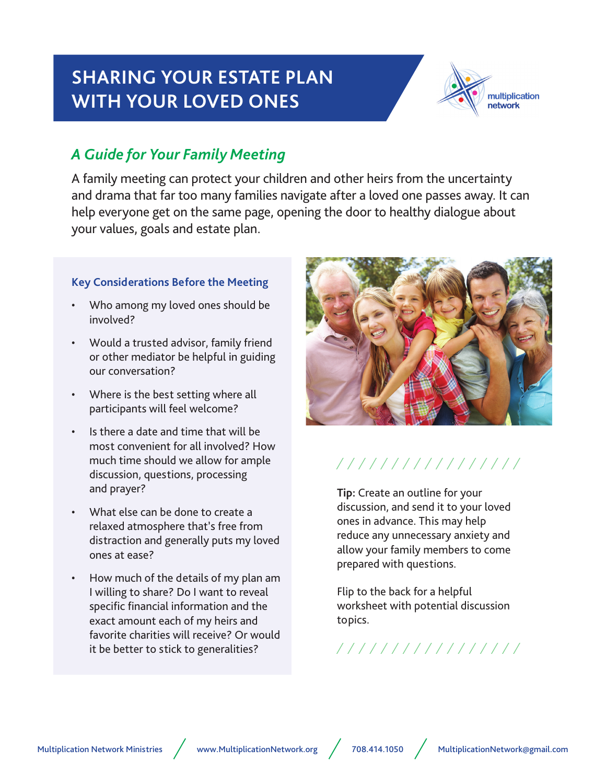# **SHARING YOUR ESTATE PLAN WITH YOUR LOVED ONES**



### *A Guide for Your Family Meeting*

A family meeting can protect your children and other heirs from the uncertainty and drama that far too many families navigate after a loved one passes away. It can help everyone get on the same page, opening the door to healthy dialogue about your values, goals and estate plan.

### **Key Considerations Before the Meeting**

- Who among my loved ones should be involved?
- Would a trusted advisor, family friend or other mediator be helpful in guiding our conversation?
- Where is the best setting where all participants will feel welcome?
- Is there a date and time that will be most convenient for all involved? How much time should we allow for ample discussion, questions, processing and prayer?
- What else can be done to create a relaxed atmosphere that's free from distraction and generally puts my loved ones at ease?
- How much of the details of my plan am I willing to share? Do I want to reveal specific financial information and the exact amount each of my heirs and favorite charities will receive? Or would it be better to stick to generalities?



## /////////////////

**Tip:** Create an outline for your discussion, and send it to your loved ones in advance. This may help reduce any unnecessary anxiety and allow your family members to come prepared with questions.

Flip to the back for a helpful worksheet with potential discussion topics.

7777777777777777